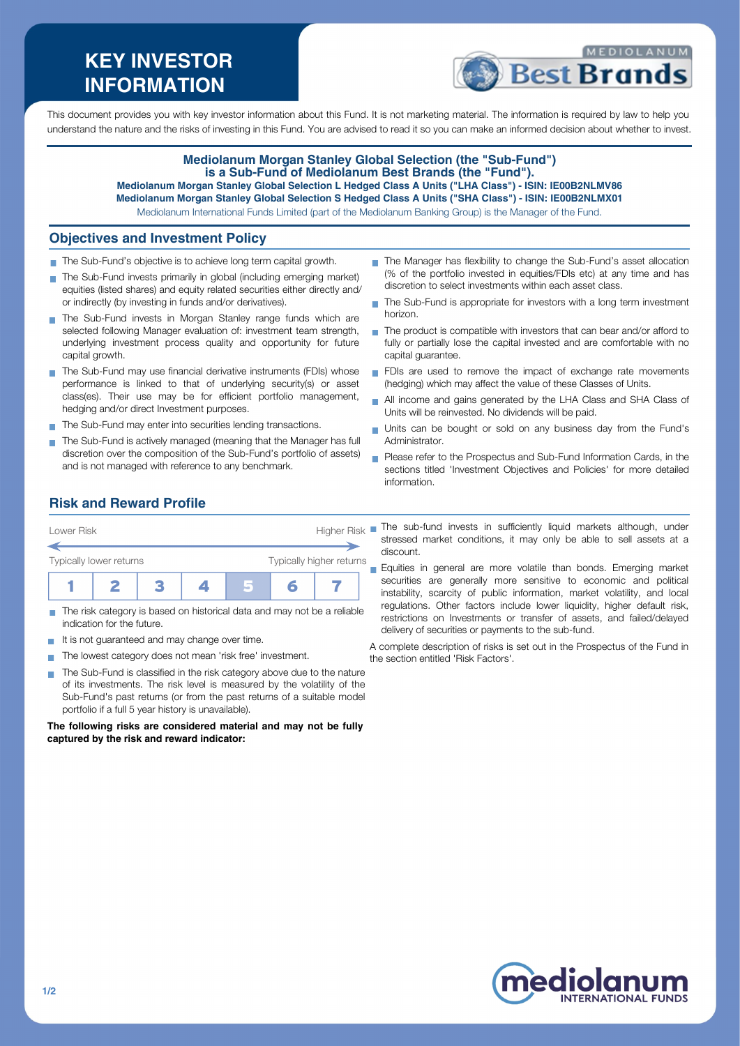# **KEY INVESTOR INFORMATION**



This document provides you with key investor information about this Fund. It is not marketing material. The information is required by law to help you understand the nature and the risks of investing in this Fund. You are advised to read it so you can make an informed decision about whether to invest.

#### **Mediolanum Morgan Stanley Global Selection (the "Sub-Fund") is a Sub-Fund of Mediolanum Best Brands (the "Fund"). Mediolanum Morgan Stanley Global Selection L Hedged Class A Units ("LHA Class") - ISIN: IE00B2NLMV86**

**Mediolanum Morgan Stanley Global Selection S Hedged Class A Units ("SHA Class") - ISIN: IE00B2NLMX01** Mediolanum International Funds Limited (part of the Mediolanum Banking Group) is the Manager of the Fund.

## **Objectives and Investment Policy**

- The Sub-Fund's objective is to achieve long term capital growth.
- The Sub-Fund invests primarily in global (including emerging market) equities (listed shares) and equity related securities either directly and/ or indirectly (by investing in funds and/or derivatives).
- The Sub-Fund invests in Morgan Stanley range funds which are selected following Manager evaluation of: investment team strength, underlying investment process quality and opportunity for future capital growth.
- The Sub-Fund may use financial derivative instruments (FDIs) whose performance is linked to that of underlying security(s) or asset class(es). Their use may be for efficient portfolio management, hedging and/or direct Investment purposes.
- The Sub-Fund may enter into securities lending transactions.
- The Sub-Fund is actively managed (meaning that the Manager has full discretion over the composition of the Sub-Fund's portfolio of assets) and is not managed with reference to any benchmark.
- The Manager has flexibility to change the Sub-Fund's asset allocation (% of the portfolio invested in equities/FDIs etc) at any time and has discretion to select investments within each asset class.
- ÷. The Sub-Fund is appropriate for investors with a long term investment horizon.
- The product is compatible with investors that can bear and/or afford to fully or partially lose the capital invested and are comfortable with no capital guarantee.
- FDIs are used to remove the impact of exchange rate movements (hedging) which may affect the value of these Classes of Units.
- All income and gains generated by the LHA Class and SHA Class of Units will be reinvested. No dividends will be paid.
- Units can be bought or sold on any business day from the Fund's Administrator.
- **Please refer to the Prospectus and Sub-Fund Information Cards, in the** sections titled 'Investment Objectives and Policies' for more detailed information.

# **Risk and Reward Profile**

| Lower Risk              |  |  |  | <b>Higher Risk</b> |  |                          |  |
|-------------------------|--|--|--|--------------------|--|--------------------------|--|
| Typically lower returns |  |  |  |                    |  | Typically higher returns |  |
|                         |  |  |  |                    |  |                          |  |

- The risk category is based on historical data and may not be a reliable indication for the future.
- It is not guaranteed and may change over time.  $\mathcal{L}_{\mathcal{A}}$
- The lowest category does not mean 'risk free' investment.  $\blacksquare$
- The Sub-Fund is classified in the risk category above due to the nature of its investments. The risk level is measured by the volatility of the Sub-Fund's past returns (or from the past returns of a suitable model portfolio if a full 5 year history is unavailable).

**The following risks are considered material and may not be fully captured by the risk and reward indicator:**

The sub-fund invests in sufficiently liquid markets although, under stressed market conditions, it may only be able to sell assets at a discount.

Equities in general are more volatile than bonds. Emerging market securities are generally more sensitive to economic and political instability, scarcity of public information, market volatility, and local regulations. Other factors include lower liquidity, higher default risk, restrictions on Investments or transfer of assets, and failed/delayed delivery of securities or payments to the sub-fund.

A complete description of risks is set out in the Prospectus of the Fund in the section entitled 'Risk Factors'.